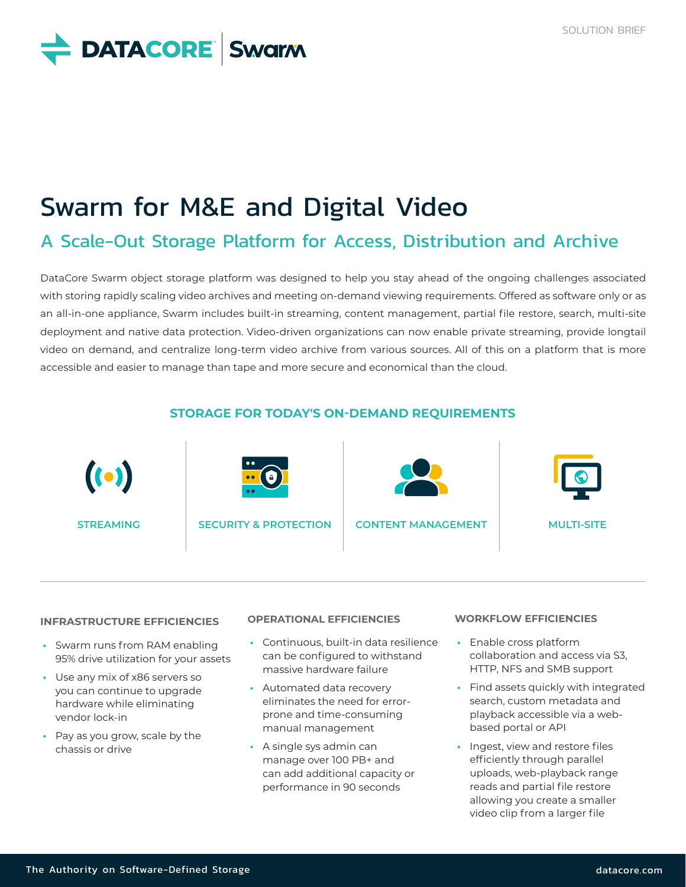## **DATACORE** Swarm

## Swarm for M&E and Digital Video

### A Scale-Out Storage Platform for Access, Distribution and Archive

DataCore Swarm object storage platform was designed to help you stay ahead of the ongoing challenges associated with storing rapidly scaling video archives and meeting on-demand viewing requirements. Offered as software only or as an all-in-one appliance, Swarm includes built-in streaming, content management, partial file restore, search, multi-site deployment and native data protection. Video-driven organizations can now enable private streaming, provide longtail video on demand, and centralize long-term video archive from various sources. All of this on a platform that is more accessible and easier to manage than tape and more secure and economical than the cloud.

# **STORAGE FOR TODAY'S ON-DEMAND REQUIREMENTS**  $\left( \bullet \right)$ **STREAMING SECURITY & PROTECTION CONTENT MANAGEMENT MULTI-SITE**

#### **INFRASTRUCTURE EFFICIENCIES**

- **•** Swarm runs from RAM enabling 95% drive utilization for your assets
- **•** Use any mix of x86 servers so you can continue to upgrade hardware while eliminating vendor lock-in
- **•** Pay as you grow, scale by the chassis or drive

#### **OPERATIONAL EFFICIENCIES**

- **•** Continuous, built-in data resilience can be configured to withstand massive hardware failure
- **•** Automated data recovery eliminates the need for errorprone and time-consuming manual management
- **•** A single sys admin can manage over 100 PB+ and can add additional capacity or performance in 90 seconds

#### **WORKFLOW EFFICIENCIES**

- **•** Enable cross platform collaboration and access via S3, HTTP, NFS and SMB support
- **•** Find assets quickly with integrated search, custom metadata and playback accessible via a webbased portal or API
- **•** Ingest, view and restore files efficiently through parallel uploads, web-playback range reads and partial file restore allowing you create a smaller video clip from a larger file